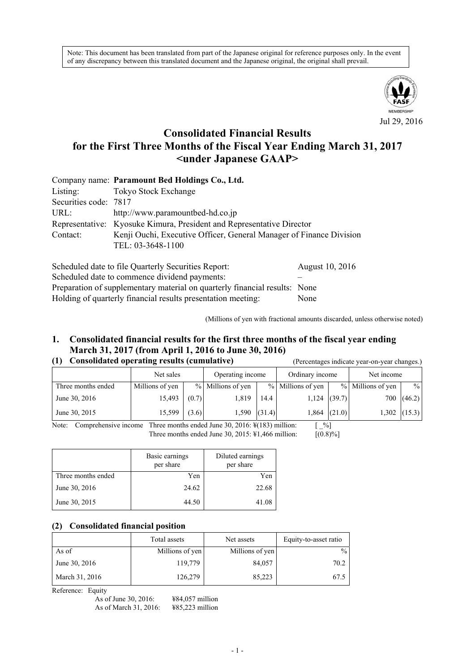Note: This document has been translated from part of the Japanese original for reference purposes only. In the event of any discrepancy between this translated document and the Japanese original, the original shall prevail.



# **Consolidated Financial Results for the First Three Months of the Fiscal Year Ending March 31, 2017 <under Japanese GAAP>**

|                       | Company name: Paramount Bed Holdings Co., Ltd.                        |
|-----------------------|-----------------------------------------------------------------------|
| Listing:              | Tokyo Stock Exchange                                                  |
| Securities code: 7817 |                                                                       |
| URL:                  | http://www.paramountbed-hd.co.jp                                      |
|                       | Representative: Kyosuke Kimura, President and Representative Director |
| Contact:              | Kenji Ouchi, Executive Officer, General Manager of Finance Division   |
|                       | TEL: 03-3648-1100                                                     |

| Scheduled date to file Quarterly Securities Report:                        | August 10, 2016 |
|----------------------------------------------------------------------------|-----------------|
| Scheduled date to commence dividend payments:                              |                 |
| Preparation of supplementary material on quarterly financial results: None |                 |
| Holding of quarterly financial results presentation meeting:               | None            |

(Millions of yen with fractional amounts discarded, unless otherwise noted)

### **1. Consolidated financial results for the first three months of the fiscal year ending March 31, 2017 (from April 1, 2016 to June 30, 2016) (1) Consolidated operating results (cumulative)** (Percentages indicate year-on-year changes.)

|                    | Net sales       |       | Operating income  |      | Ordinary income   |                | Net income        |                |
|--------------------|-----------------|-------|-------------------|------|-------------------|----------------|-------------------|----------------|
| Three months ended | Millions of yen |       | % Millions of yen |      | % Millions of yen |                | % Millions of yen | $\frac{0}{0}$  |
| June 30, 2016      | 15,493          | (0.7) | 1,819             | 14.4 | 1,124             | (39.7)         | 700               | (46.2)         |
| June 30, 2015      | 15,599          | (3.6) | $1,590$ (31.4)    |      |                   | $1,864$ (21.0) |                   | $1,302$ (15.3) |

Note: Comprehensive income Three months ended June 30, 2016:  $\frac{1}{2}$  (183) million:  $\begin{bmatrix} \% \end{bmatrix}$ Three months ended June 30, 2015:  $\frac{1}{4}1,466$  million:  $[(0.8)\%]$ 

|                    | Basic earnings<br>per share | Diluted earnings<br>per share |
|--------------------|-----------------------------|-------------------------------|
| Three months ended | Yen                         | Yen                           |
| June 30, 2016      | 24.62                       | 22.68                         |
| June 30, 2015      | 44.50                       | 41.08                         |

#### **(2) Consolidated financial position**

|                | Total assets    | Net assets      | Equity-to-asset ratio |
|----------------|-----------------|-----------------|-----------------------|
| As of          | Millions of yen | Millions of yen | $\%$                  |
| June 30, 2016  | 119,779         | 84,057          | 70.2                  |
| March 31, 2016 | 126,279         | 85,223          | 67.5                  |

Reference: Equity

| As of June 30, 2016:  | $484,057$ million |
|-----------------------|-------------------|
| As of March 31, 2016: | $485,223$ million |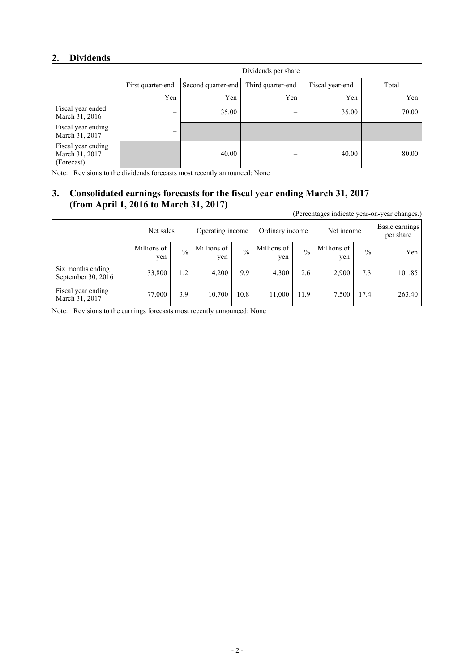## **2. Dividends**

|                                                    | Dividends per share      |                    |                   |                 |       |  |
|----------------------------------------------------|--------------------------|--------------------|-------------------|-----------------|-------|--|
|                                                    | First quarter-end        | Second quarter-end | Third quarter-end | Fiscal year-end | Total |  |
|                                                    | Yen                      | Yen                | Yen               | Yen             | Yen   |  |
| Fiscal year ended<br>March 31, 2016                | $\overline{\phantom{0}}$ | 35.00              | –                 | 35.00           | 70.00 |  |
| Fiscal year ending<br>March 31, 2017               | –                        |                    |                   |                 |       |  |
| Fiscal year ending<br>March 31, 2017<br>(Forecast) |                          | 40.00              |                   | 40.00           | 80.00 |  |

Note: Revisions to the dividends forecasts most recently announced: None

# **3. Consolidated earnings forecasts for the fiscal year ending March 31, 2017 (from April 1, 2016 to March 31, 2017)**

(Percentages indicate year-on-year changes.)

|                                         | Net sales          |               | Operating income   |               | Ordinary income    |               | Net income         |               | Basic earnings<br>per share |
|-----------------------------------------|--------------------|---------------|--------------------|---------------|--------------------|---------------|--------------------|---------------|-----------------------------|
|                                         | Millions of<br>yen | $\frac{0}{0}$ | Millions of<br>yen | $\frac{0}{0}$ | Millions of<br>yen | $\frac{0}{0}$ | Millions of<br>yen | $\frac{0}{0}$ | Yen                         |
| Six months ending<br>September 30, 2016 | 33,800             | 1.2           | 4,200              | 9.9           | 4,300              | 2.6           | 2,900              | 7.3           | 101.85                      |
| Fiscal year ending<br>March 31, 2017    | 77,000             | 3.9           | 10,700             | 10.8          | 11,000             | 11.9          | 7,500              | 17.4          | 263.40                      |

Note: Revisions to the earnings forecasts most recently announced: None